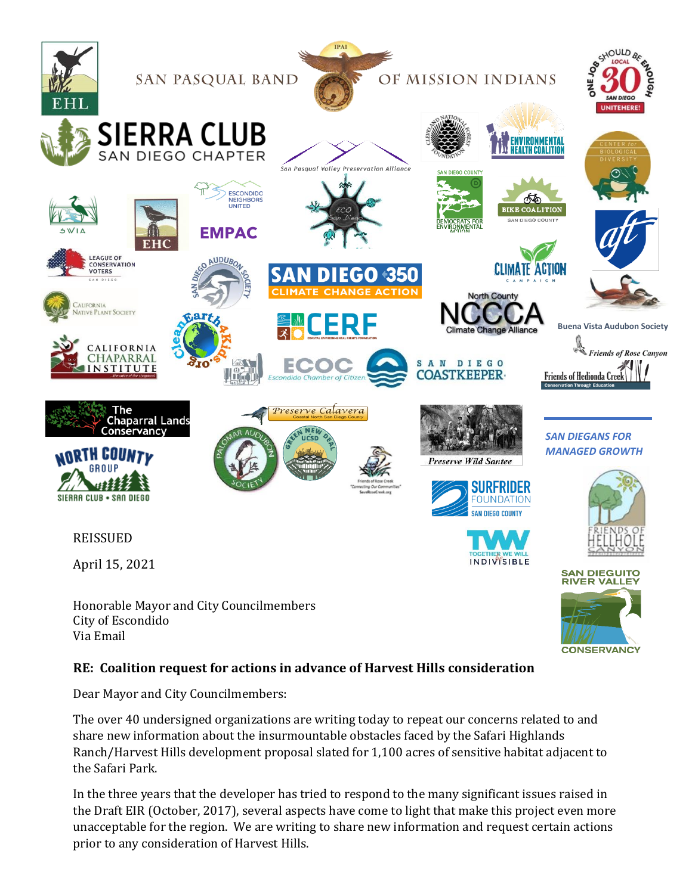

#### **RE: Coalition request for actions in advance of Harvest Hills consideration**

Dear Mayor and City Councilmembers:

The over 40 undersigned organizations are writing today to repeat our concerns related to and share new information about the insurmountable obstacles faced by the Safari Highlands Ranch/Harvest Hills development proposal slated for 1,100 acres of sensitive habitat adjacent to the Safari Park.

In the three years that the developer has tried to respond to the many significant issues raised in the Draft EIR (October, 2017), several aspects have come to light that make this project even more unacceptable for the region. We are writing to share new information and request certain actions prior to any consideration of Harvest Hills.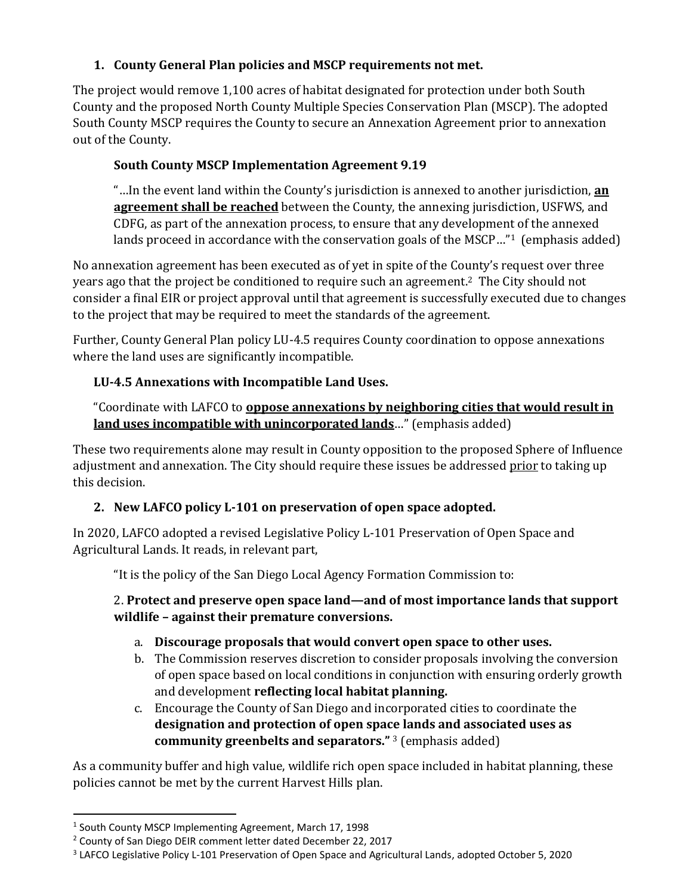#### **1. County General Plan policies and MSCP requirements not met.**

The project would remove 1,100 acres of habitat designated for protection under both South County and the proposed North County Multiple Species Conservation Plan (MSCP). The adopted South County MSCP requires the County to secure an Annexation Agreement prior to annexation out of the County.

# **South County MSCP Implementation Agreement 9.19**

"…In the event land within the County's jurisdiction is annexed to another jurisdiction, **an agreement shall be reached** between the County, the annexing jurisdiction, USFWS, and CDFG, as part of the annexation process, to ensure that any development of the annexed lands proceed in accordance with the conservation goals of the MSCP..."<sup>1</sup> (emphasis added)

No annexation agreement has been executed as of yet in spite of the County's request over three years ago that the project be conditioned to require such an agreement.2 The City should not consider a final EIR or project approval until that agreement is successfully executed due to changes to the project that may be required to meet the standards of the agreement.

Further, County General Plan policy LU-4.5 requires County coordination to oppose annexations where the land uses are significantly incompatible.

## **LU-4.5 Annexations with Incompatible Land Uses.**

"Coordinate with LAFCO to **oppose annexations by neighboring cities that would result in land uses incompatible with unincorporated lands**…" (emphasis added)

These two requirements alone may result in County opposition to the proposed Sphere of Influence adjustment and annexation. The City should require these issues be addressed prior to taking up this decision.

# **2. New LAFCO policy L-101 on preservation of open space adopted.**

In 2020, LAFCO adopted a revised Legislative Policy L-101 Preservation of Open Space and Agricultural Lands. It reads, in relevant part,

"It is the policy of the San Diego Local Agency Formation Commission to:

## 2. **Protect and preserve open space land—and of most importance lands that support wildlife – against their premature conversions.**

- a. **Discourage proposals that would convert open space to other uses.**
- b. The Commission reserves discretion to consider proposals involving the conversion of open space based on local conditions in conjunction with ensuring orderly growth and development **reflecting local habitat planning.**
- c. Encourage the County of San Diego and incorporated cities to coordinate the **designation and protection of open space lands and associated uses as community greenbelts and separators."** <sup>3</sup> (emphasis added)

As a community buffer and high value, wildlife rich open space included in habitat planning, these policies cannot be met by the current Harvest Hills plan.

<sup>&</sup>lt;sup>1</sup> South County MSCP Implementing Agreement, March 17, 1998

<sup>2</sup> County of San Diego DEIR comment letter dated December 22, 2017

<sup>&</sup>lt;sup>3</sup> LAFCO Legislative Policy L-101 Preservation of Open Space and Agricultural Lands, adopted October 5, 2020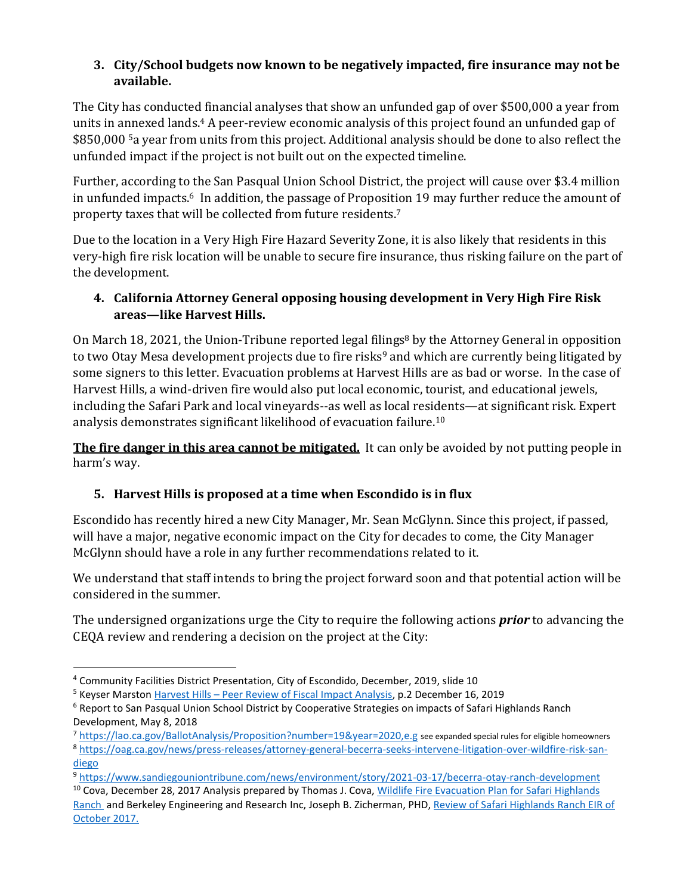#### **3. City/School budgets now known to be negatively impacted, fire insurance may not be available.**

The City has conducted financial analyses that show an unfunded gap of over \$500,000 a year from units in annexed lands.<sup>4</sup> A peer-review economic analysis of this project found an unfunded gap of \$850,000 <sup>5</sup>a year from units from this project. Additional analysis should be done to also reflect the unfunded impact if the project is not built out on the expected timeline.

Further, according to the San Pasqual Union School District, the project will cause over \$3.4 million in unfunded impacts.<sup>6</sup> In addition, the passage of Proposition 19 may further reduce the amount of property taxes that will be collected from future residents.<sup>7</sup>

Due to the location in a Very High Fire Hazard Severity Zone, it is also likely that residents in this very-high fire risk location will be unable to secure fire insurance, thus risking failure on the part of the development.

## **4. California Attorney General opposing housing development in Very High Fire Risk areas—like Harvest Hills.**

On March 18, 2021, the Union-Tribune reported legal filings<sup>8</sup> by the Attorney General in opposition to two Otay Mesa development projects due to fire risks<sup>9</sup> and which are currently being litigated by some signers to this letter. Evacuation problems at Harvest Hills are as bad or worse. In the case of Harvest Hills, a wind-driven fire would also put local economic, tourist, and educational jewels, including the Safari Park and local vineyards--as well as local residents—at significant risk. Expert analysis demonstrates significant likelihood of evacuation failure.<sup>10</sup>

**The fire danger in this area cannot be mitigated.** It can only be avoided by not putting people in harm's way.

# **5. Harvest Hills is proposed at a time when Escondido is in flux**

Escondido has recently hired a new City Manager, Mr. Sean McGlynn. Since this project, if passed, will have a major, negative economic impact on the City for decades to come, the City Manager McGlynn should have a role in any further recommendations related to it.

We understand that staff intends to bring the project forward soon and that potential action will be considered in the summer.

The undersigned organizations urge the City to require the following actions *prior* to advancing the CEQA review and rendering a decision on the project at the City:

<sup>4</sup> Community Facilities District Presentation, City of Escondido, December, 2019, slide 10

<sup>5</sup> Keyser Marston Harvest Hills – [Peer Review of Fiscal Impact Analysis,](https://www.escondido.org/Data/Sites/1/media/PDFs/Planning/SafariRanch/peerreview2019.pdf?v=2) p.2 December 16, 2019

<sup>&</sup>lt;sup>6</sup> Report to San Pasqual Union School District by Cooperative Strategies on impacts of Safari Highlands Ranch Development, May 8, 2018

<sup>7</sup> <https://lao.ca.gov/BallotAnalysis/Proposition?number=19&year=2020,e.g> see expanded special rules for eligible homeowners <sup>8</sup> [https://oag.ca.gov/news/press-releases/attorney-general-becerra-seeks-intervene-litigation-over-wildfire-risk-san](https://oag.ca.gov/news/press-releases/attorney-general-becerra-seeks-intervene-litigation-over-wildfire-risk-san-diego)[diego](https://oag.ca.gov/news/press-releases/attorney-general-becerra-seeks-intervene-litigation-over-wildfire-risk-san-diego)

<sup>9</sup> <https://www.sandiegouniontribune.com/news/environment/story/2021-03-17/becerra-otay-ranch-development>

<sup>&</sup>lt;sup>10</sup> Cova, December 28, 2017 Analysis prepared by Thomas J. Cova, Wildlife Fire Evacuation Plan for Safari Highlands [Ranch](https://www.spvpa.org/wp-content/uploads/2018/01/Cova-comments-on-SHR-Wildand-Fire-Evacuation-Plan-2017.pdf) and Berkeley Engineering and Research Inc, Joseph B. Zicherman, PHD[, Review of Safari Highlands Ranch EIR of](https://www.spvpa.org/wp-content/uploads/2018/01/Zicherman-Report-and-CV-2017-12-27.pdf)  [October 2017.](https://www.spvpa.org/wp-content/uploads/2018/01/Zicherman-Report-and-CV-2017-12-27.pdf)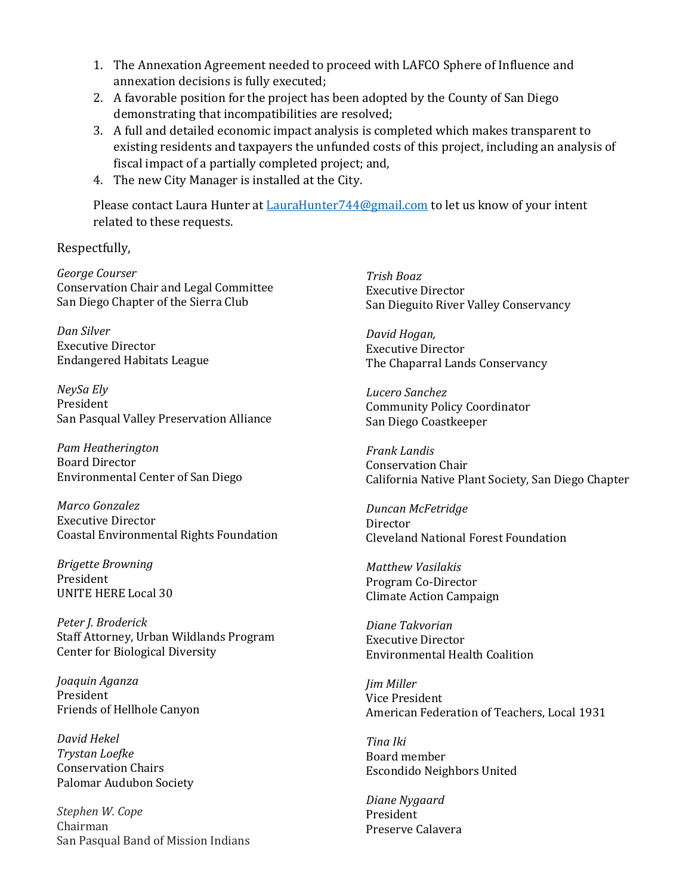- 1. The Annexation Agreement needed to proceed with LAFCO Sphere of Influence and annexation decisions is fully executed;
- 2. A favorable position for the project has been adopted by the County of San Diego demonstrating that incompatibilities are resolved;
- 3. A full and detailed economic impact analysis is completed which makes transparent to existing residents and taxpayers the unfunded costs of this project, including an analysis of fiscal impact of a partially completed project; and,
- 4. The new City Manager is installed at the City.

Please contact Laura Hunter at [LauraHunter744@gmail.com](mailto:LauraHunter744@gmail.com) to let us know of your intent related to these requests.

Respectfully,

*George Courser* Conservation Chair and Legal Committee San Diego Chapter of the Sierra Club

*Dan Silver* Executive Director Endangered Habitats League

*NeySa Ely* President San Pasqual Valley Preservation Alliance

*Pam Heatherington* Board Director Environmental Center of San Diego

*Marco Gonzalez* Executive Director Coastal Environmental Rights Foundation

*Brigette Browning* President UNITE HERE Local 30

*Peter J. Broderick* Staff Attorney, Urban Wildlands Program Center for Biological Diversity

*Joaquin Aganza* President Friends of Hellhole Canyon

*David Hekel Trystan Loefke*  Conservation Chairs Palomar Audubon Society

*Stephen W. Cope* Chairman San Pasqual Band of Mission Indians *Trish Boaz* Executive Director San Dieguito River Valley Conservancy

*David Hogan,*  Executive Director The Chaparral Lands Conservancy

*Lucero Sanchez* Community Policy Coordinator San Diego Coastkeeper

*Frank Landis* Conservation Chair California Native Plant Society, San Diego Chapter

*Duncan McFetridge* **Director** Cleveland National Forest Foundation

*Matthew Vasilakis*  Program Co-Director Climate Action Campaign

*Diane Takvorian* Executive Director Environmental Health Coalition

*Jim Miller* Vice President American Federation of Teachers, Local 1931

*Tina Iki* Board member Escondido Neighbors United

*Diane Nygaard* President Preserve Calavera